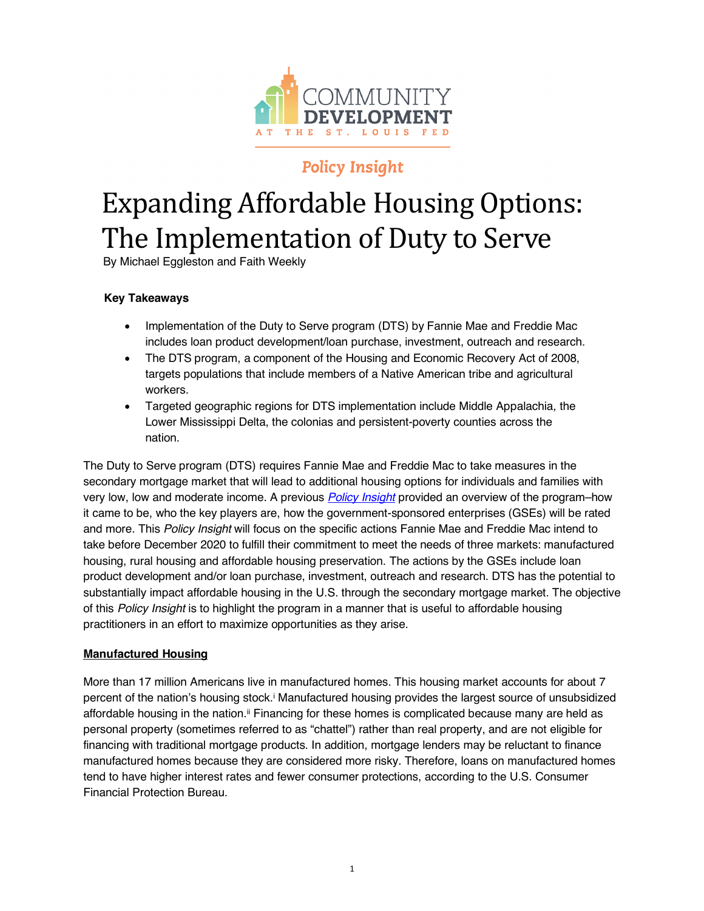

# **Policy Insight**

# Expanding Affordable Housing Options: The Implementation of Duty to Serve

By Michael Eggleston and Faith Weekly

# **Key Takeaways**

- Implementation of the Duty to Serve program (DTS) by Fannie Mae and Freddie Mac includes loan product development/loan purchase, investment, outreach and research.
- The DTS program, a component of the Housing and Economic Recovery Act of 2008, targets populations that include members of a Native American tribe and agricultural workers.
- Targeted geographic regions for DTS implementation include Middle Appalachia, the Lower Mississippi Delta, the colonias and persistent-poverty counties across the nation.

The Duty to Serve program (DTS) requires Fannie Mae and Freddie Mac to take measures in the secondary mortgage market that will lead to additional housing options for individuals and families with very low, low and moderate income. A previous *[Policy Insight](https://www.stlouisfed.org/community-development/publications/policy-insights/expanding-affordable-housing-options)* provided an overview of the program–how it came to be, who the key players are, how the government-sponsored enterprises (GSEs) will be rated and more. This *Policy Insight* will focus on the specific actions Fannie Mae and Freddie Mac intend to take before December 2020 to fulfill their commitment to meet the needs of three markets: manufactured housing, rural housing and affordable housing preservation. The actions by the GSEs include loan product development and/or loan purchase, investment, outreach and research. DTS has the potential to substantially impact affordable housing in the U.S. through the secondary mortgage market. The objective of this *Policy Insight* is to highlight the program in a manner that is useful to affordable housing practitioners in an effort to maximize opportunities as they arise.

# **Manufactured Housing**

More than 17 million Americans live in manufactured homes. This housing market accounts for about 7 percent of the nation's housing stock.i Manufactured housing provides the largest source of unsubsidized affordable housing in the nation.ii Financing for these homes is complicated because many are held as personal property (sometimes referred to as "chattel") rather than real property, and are not eligible for financing with traditional mortgage products. In addition, mortgage lenders may be reluctant to finance manufactured homes because they are considered more risky. Therefore, loans on manufactured homes tend to have higher interest rates and fewer consumer protections, according to the U.S. Consumer Financial Protection Bureau.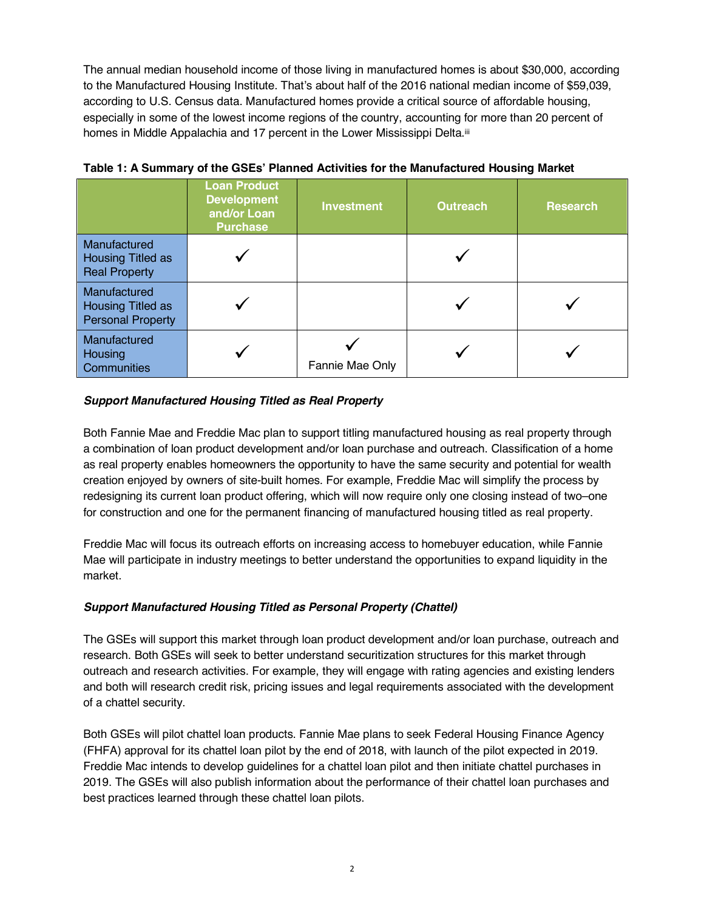The annual median household income of those living in manufactured homes is about \$30,000, according to the Manufactured Housing Institute. That's about half of the 2016 national median income of \$59,039, according to U.S. Census data. Manufactured homes provide a critical source of affordable housing, especially in some of the lowest income regions of the country, accounting for more than 20 percent of homes in Middle Appalachia and 17 percent in the Lower Mississippi Delta.iii

|                                                                  | <b>Loan Product</b><br><b>Development</b><br>and/or Loan<br><b>Purchase</b> | <b>Investment</b> | <b>Outreach</b> | <b>Research</b> |
|------------------------------------------------------------------|-----------------------------------------------------------------------------|-------------------|-----------------|-----------------|
| Manufactured<br><b>Housing Titled as</b><br><b>Real Property</b> |                                                                             |                   |                 |                 |
| Manufactured<br>Housing Titled as<br><b>Personal Property</b>    |                                                                             |                   |                 |                 |
| Manufactured<br>Housing<br>Communities                           |                                                                             | Fannie Mae Only   |                 |                 |

**Table 1: A Summary of the GSEs' Planned Activities for the Manufactured Housing Market**

#### *Support Manufactured Housing Titled as Real Property*

Both Fannie Mae and Freddie Mac plan to support titling manufactured housing as real property through a combination of loan product development and/or loan purchase and outreach. Classification of a home as real property enables homeowners the opportunity to have the same security and potential for wealth creation enjoyed by owners of site-built homes. For example, Freddie Mac will simplify the process by redesigning its current loan product offering, which will now require only one closing instead of two–one for construction and one for the permanent financing of manufactured housing titled as real property.

Freddie Mac will focus its outreach efforts on increasing access to homebuyer education, while Fannie Mae will participate in industry meetings to better understand the opportunities to expand liquidity in the market.

#### *Support Manufactured Housing Titled as Personal Property (Chattel)*

The GSEs will support this market through loan product development and/or loan purchase, outreach and research. Both GSEs will seek to better understand securitization structures for this market through outreach and research activities. For example, they will engage with rating agencies and existing lenders and both will research credit risk, pricing issues and legal requirements associated with the development of a chattel security.

Both GSEs will pilot chattel loan products. Fannie Mae plans to seek Federal Housing Finance Agency (FHFA) approval for its chattel loan pilot by the end of 2018, with launch of the pilot expected in 2019. Freddie Mac intends to develop guidelines for a chattel loan pilot and then initiate chattel purchases in 2019. The GSEs will also publish information about the performance of their chattel loan purchases and best practices learned through these chattel loan pilots.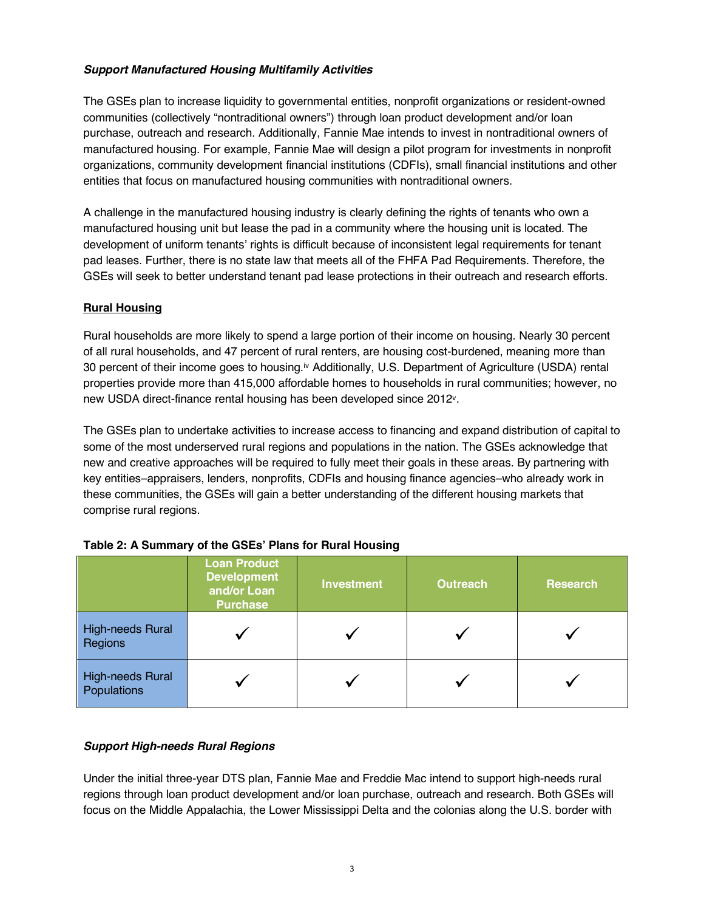# *Support Manufactured Housing Multifamily Activities*

The GSEs plan to increase liquidity to governmental entities, nonprofit organizations or resident-owned communities (collectively "nontraditional owners") through loan product development and/or loan purchase, outreach and research. Additionally, Fannie Mae intends to invest in nontraditional owners of manufactured housing. For example, Fannie Mae will design a pilot program for investments in nonprofit organizations, community development financial institutions (CDFIs), small financial institutions and other entities that focus on manufactured housing communities with nontraditional owners.

A challenge in the manufactured housing industry is clearly defining the rights of tenants who own a manufactured housing unit but lease the pad in a community where the housing unit is located. The development of uniform tenants' rights is difficult because of inconsistent legal requirements for tenant pad leases. Further, there is no state law that meets all of the FHFA Pad Requirements. Therefore, the GSEs will seek to better understand tenant pad lease protections in their outreach and research efforts.

#### **Rural Housing**

Rural households are more likely to spend a large portion of their income on housing. Nearly 30 percent of all rural households, and 47 percent of rural renters, are housing cost-burdened, meaning more than 30 percent of their income goes to housing.<sup>iv</sup> Additionally, U.S. Department of Agriculture (USDA) rental properties provide more than 415,000 affordable homes to households in rural communities; however, no new USDA direct-finance rental housing has been developed since 2012v.

The GSEs plan to undertake activities to increase access to financing and expand distribution of capital to some of the most underserved rural regions and populations in the nation. The GSEs acknowledge that new and creative approaches will be required to fully meet their goals in these areas. By partnering with key entities–appraisers, lenders, nonprofits, CDFIs and housing finance agencies–who already work in these communities, the GSEs will gain a better understanding of the different housing markets that comprise rural regions.

|                                        | <b>Loan Product</b><br><b>Development</b><br>and/or Loan<br><b>Purchase</b> | <b>Investment</b> | <b>Outreach</b> | <b>Research</b> |
|----------------------------------------|-----------------------------------------------------------------------------|-------------------|-----------------|-----------------|
| High-needs Rural<br>Regions            |                                                                             |                   |                 |                 |
| <b>High-needs Rural</b><br>Populations |                                                                             |                   |                 |                 |

| Table 2: A Summary of the GSEs' Plans for Rural Housing |  |  |  |
|---------------------------------------------------------|--|--|--|
|---------------------------------------------------------|--|--|--|

#### *Support High-needs Rural Regions*

Under the initial three-year DTS plan, Fannie Mae and Freddie Mac intend to support high-needs rural regions through loan product development and/or loan purchase, outreach and research. Both GSEs will focus on the Middle Appalachia, the Lower Mississippi Delta and the colonias along the U.S. border with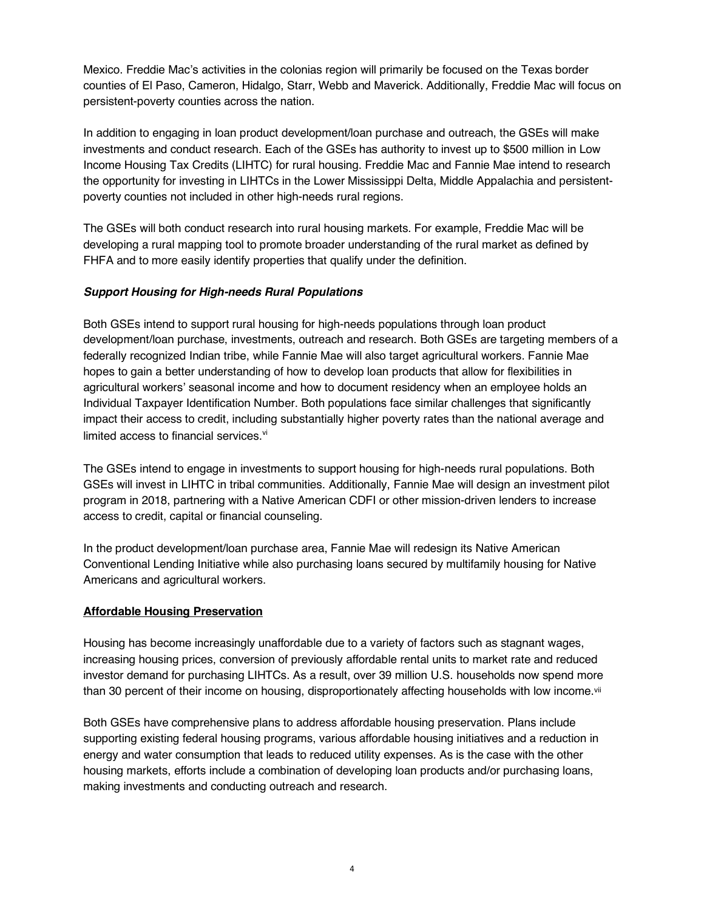Mexico. Freddie Mac's activities in the colonias region will primarily be focused on the Texas border counties of El Paso, Cameron, Hidalgo, Starr, Webb and Maverick. Additionally, Freddie Mac will focus on persistent-poverty counties across the nation.

In addition to engaging in loan product development/loan purchase and outreach, the GSEs will make investments and conduct research. Each of the GSEs has authority to invest up to \$500 million in Low Income Housing Tax Credits (LIHTC) for rural housing. Freddie Mac and Fannie Mae intend to research the opportunity for investing in LIHTCs in the Lower Mississippi Delta, Middle Appalachia and persistentpoverty counties not included in other high-needs rural regions.

The GSEs will both conduct research into rural housing markets. For example, Freddie Mac will be developing a rural mapping tool to promote broader understanding of the rural market as defined by FHFA and to more easily identify properties that qualify under the definition.

#### *Support Housing for High-needs Rural Populations*

Both GSEs intend to support rural housing for high-needs populations through loan product development/loan purchase, investments, outreach and research. Both GSEs are targeting members of a federally recognized Indian tribe, while Fannie Mae will also target agricultural workers. Fannie Mae hopes to gain a better understanding of how to develop loan products that allow for flexibilities in agricultural workers' seasonal income and how to document residency when an employee holds an Individual Taxpayer Identification Number. Both populations face similar challenges that significantly impact their access to credit, including substantially higher poverty rates than the national average and limited access to financial services.<sup>vi</sup>

The GSEs intend to engage in investments to support housing for high-needs rural populations. Both GSEs will invest in LIHTC in tribal communities. Additionally, Fannie Mae will design an investment pilot program in 2018, partnering with a Native American CDFI or other mission-driven lenders to increase access to credit, capital or financial counseling.

In the product development/loan purchase area, Fannie Mae will redesign its Native American Conventional Lending Initiative while also purchasing loans secured by multifamily housing for Native Americans and agricultural workers.

#### **Affordable Housing Preservation**

Housing has become increasingly unaffordable due to a variety of factors such as stagnant wages, increasing housing prices, conversion of previously affordable rental units to market rate and reduced investor demand for purchasing LIHTCs. As a result, over 39 million U.S. households now spend more than 30 percent of their income on housing, disproportionately affecting households with low income.<sup>vii</sup>

Both GSEs have comprehensive plans to address affordable housing preservation. Plans include supporting existing federal housing programs, various affordable housing initiatives and a reduction in energy and water consumption that leads to reduced utility expenses. As is the case with the other housing markets, efforts include a combination of developing loan products and/or purchasing loans, making investments and conducting outreach and research.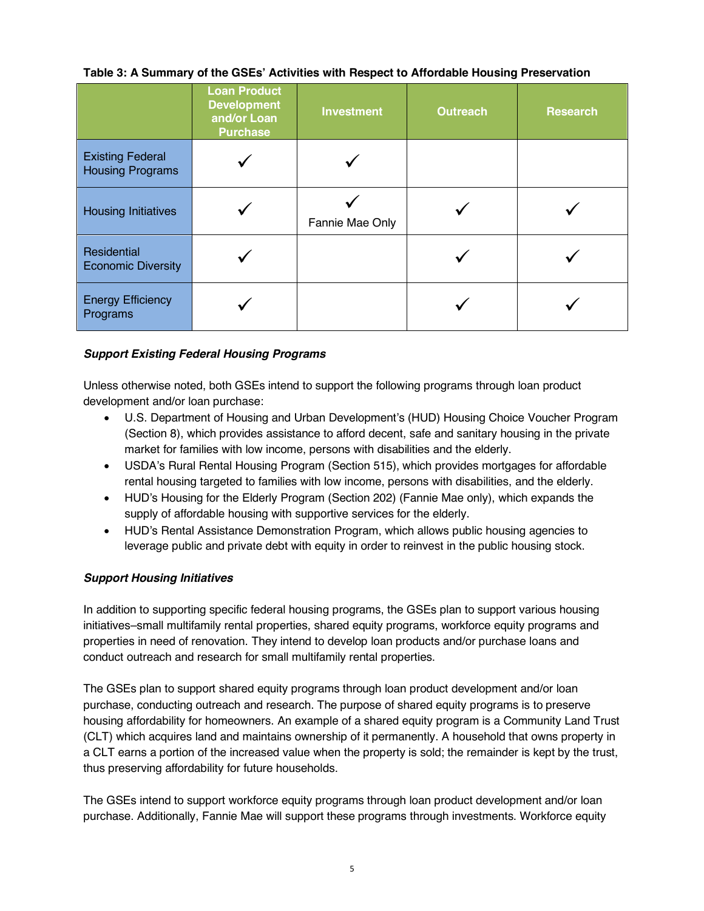#### **Table 3: A Summary of the GSEs' Activities with Respect to Affordable Housing Preservation**

|                                                    | <b>Loan Product</b><br><b>Development</b><br>and/or Loan<br><b>Purchase</b> | <b>Investment</b> | <b>Outreach</b> | <b>Research</b> |
|----------------------------------------------------|-----------------------------------------------------------------------------|-------------------|-----------------|-----------------|
| <b>Existing Federal</b><br><b>Housing Programs</b> |                                                                             |                   |                 |                 |
| <b>Housing Initiatives</b>                         |                                                                             | Fannie Mae Only   |                 |                 |
| Residential<br><b>Economic Diversity</b>           |                                                                             |                   |                 |                 |
| <b>Energy Efficiency</b><br>Programs               |                                                                             |                   |                 |                 |

#### *Support Existing Federal Housing Programs*

Unless otherwise noted, both GSEs intend to support the following programs through loan product development and/or loan purchase:

- U.S. Department of Housing and Urban Development's (HUD) Housing Choice Voucher Program (Section 8), which provides assistance to afford decent, safe and sanitary housing in the private market for families with low income, persons with disabilities and the elderly.
- USDA's Rural Rental Housing Program (Section 515), which provides mortgages for affordable rental housing targeted to families with low income, persons with disabilities, and the elderly.
- HUD's Housing for the Elderly Program (Section 202) (Fannie Mae only), which expands the supply of affordable housing with supportive services for the elderly.
- HUD's Rental Assistance Demonstration Program, which allows public housing agencies to leverage public and private debt with equity in order to reinvest in the public housing stock.

#### *Support Housing Initiatives*

In addition to supporting specific federal housing programs, the GSEs plan to support various housing initiatives–small multifamily rental properties, shared equity programs, workforce equity programs and properties in need of renovation. They intend to develop loan products and/or purchase loans and conduct outreach and research for small multifamily rental properties.

The GSEs plan to support shared equity programs through loan product development and/or loan purchase, conducting outreach and research. The purpose of shared equity programs is to preserve housing affordability for homeowners. An example of a shared equity program is a Community Land Trust (CLT) which acquires land and maintains ownership of it permanently. A household that owns property in a CLT earns a portion of the increased value when the property is sold; the remainder is kept by the trust, thus preserving affordability for future households.

The GSEs intend to support workforce equity programs through loan product development and/or loan purchase. Additionally, Fannie Mae will support these programs through investments. Workforce equity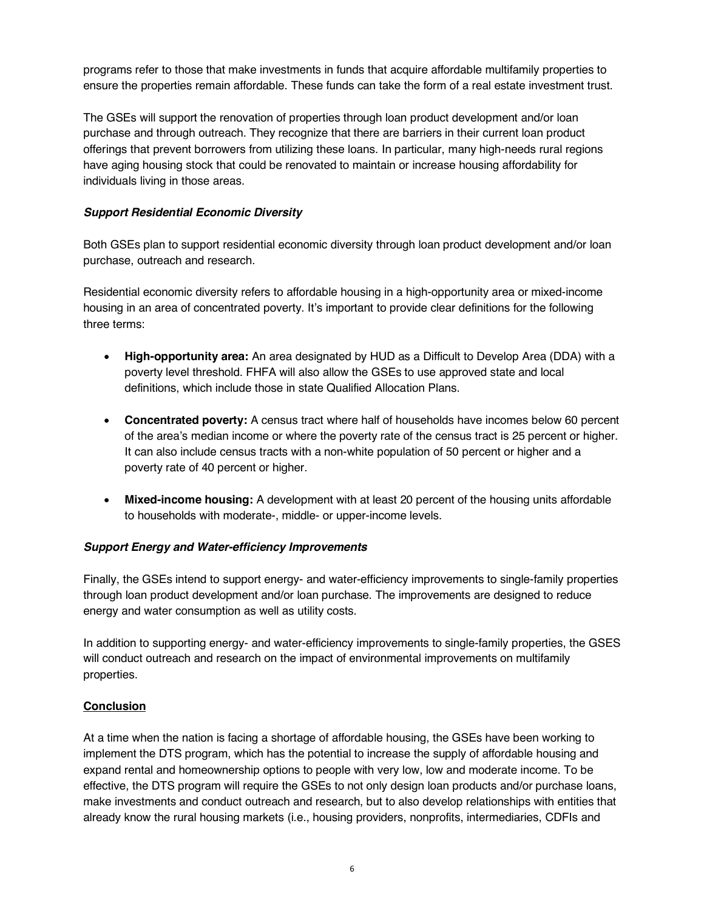programs refer to those that make investments in funds that acquire affordable multifamily properties to ensure the properties remain affordable. These funds can take the form of a real estate investment trust.

The GSEs will support the renovation of properties through loan product development and/or loan purchase and through outreach. They recognize that there are barriers in their current loan product offerings that prevent borrowers from utilizing these loans. In particular, many high-needs rural regions have aging housing stock that could be renovated to maintain or increase housing affordability for individuals living in those areas.

### *Support Residential Economic Diversity*

Both GSEs plan to support residential economic diversity through loan product development and/or loan purchase, outreach and research.

Residential economic diversity refers to affordable housing in a high-opportunity area or mixed-income housing in an area of concentrated poverty. It's important to provide clear definitions for the following three terms:

- **High-opportunity area:** An area designated by HUD as a Difficult to Develop Area (DDA) with a poverty level threshold. FHFA will also allow the GSEs to use approved state and local definitions, which include those in state Qualified Allocation Plans.
- **Concentrated poverty:** A census tract where half of households have incomes below 60 percent of the area's median income or where the poverty rate of the census tract is 25 percent or higher. It can also include census tracts with a non-white population of 50 percent or higher and a poverty rate of 40 percent or higher.
- **Mixed-income housing:** A development with at least 20 percent of the housing units affordable to households with moderate-, middle- or upper-income levels.

# *Support Energy and Water-efficiency Improvements*

Finally, the GSEs intend to support energy- and water-efficiency improvements to single-family properties through loan product development and/or loan purchase. The improvements are designed to reduce energy and water consumption as well as utility costs.

In addition to supporting energy- and water-efficiency improvements to single-family properties, the GSES will conduct outreach and research on the impact of environmental improvements on multifamily properties.

#### **Conclusion**

At a time when the nation is facing a shortage of affordable housing, the GSEs have been working to implement the DTS program, which has the potential to increase the supply of affordable housing and expand rental and homeownership options to people with very low, low and moderate income. To be effective, the DTS program will require the GSEs to not only design loan products and/or purchase loans, make investments and conduct outreach and research, but to also develop relationships with entities that already know the rural housing markets (i.e., housing providers, nonprofits, intermediaries, CDFIs and